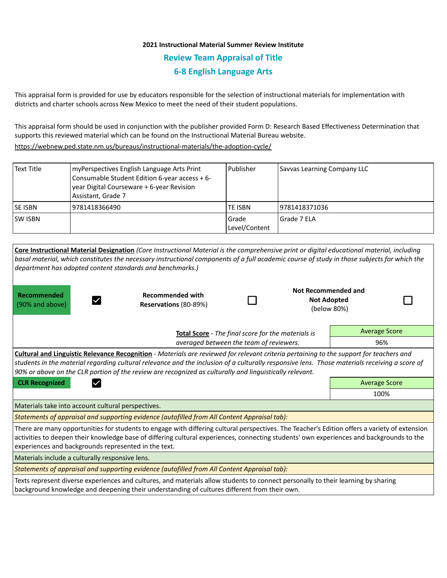## **2021 Instructional Material Summer Review Institute Review Team Appraisal of Title 6-8 English Language Arts**

This appraisal form is provided for use by educators responsible for the selection of instructional materials for implementation with districts and charter schools across New Mexico to meet the need of their student populations.

This appraisal form should be used in conjunction with the publisher provided Form D: Research Based Effectiveness Determination that supports this reviewed material which can be found on the Instructional Material Bureau website.

<https://webnew.ped.state.nm.us/bureaus/instructional-materials/the-adoption-cycle/>

| Text Title     | myPerspectives English Language Arts Print<br>Consumable Student Edition 6-year access + 6-<br>year Digital Courseware + 6-year Revision<br>Assistant, Grade 7 | l Publisher              | Savvas Learning Company LLC |
|----------------|----------------------------------------------------------------------------------------------------------------------------------------------------------------|--------------------------|-----------------------------|
| <b>SE ISBN</b> | 9781418366490                                                                                                                                                  | <b>TE ISBN</b>           | 9781418371036               |
| SW ISBN        |                                                                                                                                                                | l Grade<br>Level/Content | Grade 7 ELA                 |

**Core Instructional Material Designation** *(Core Instructional Material is the comprehensive print or digital educational material, including basal material, which constitutes the necessary instructional components of a full academic course of study in those subjects for which the department has adopted content standards and benchmarks.)*

**Recommended**  (90% and above)

 $\vert \checkmark \vert$ 

**Recommended with Reservations** (80-89%)

П

| <b>Not Recommended and</b> |  |  |  |  |
|----------------------------|--|--|--|--|
| <b>Not Adopted</b>         |  |  |  |  |
| (below 80%)                |  |  |  |  |

**Total Score** - *The final score for the materials is averaged between the team of reviewers.* Average Score 96%

**Cultural and Linguistic Relevance Recognition** - *Materials are reviewed for relevant criteria pertaining to the support for teachers and students in the material regarding cultural relevance and the inclusion of a culturally responsive lens. Those materials receiving a score of 90% or above on the CLR portion of the review are recognized as culturally and linguistically relevant.*

**CLR Recognized Contract Contract CLR Recognized** Average Score

100%

Materials take into account cultural perspectives.

*Statements of appraisal and supporting evidence (autofilled from All Content Appraisal tab):* 

There are many opportunities for students to engage with differing cultural perspectives. The Teacher's Edition offers a variety of extension activities to deepen their knowledge base of differing cultural experiences, connecting students' own experiences and backgrounds to the experiences and backgrounds represented in the text.

Materials include a culturally responsive lens.

*Statements of appraisal and supporting evidence (autofilled from All Content Appraisal tab):* 

Texts represent diverse experiences and cultures, and materials allow students to connect personally to their learning by sharing background knowledge and deepening their understanding of cultures different from their own.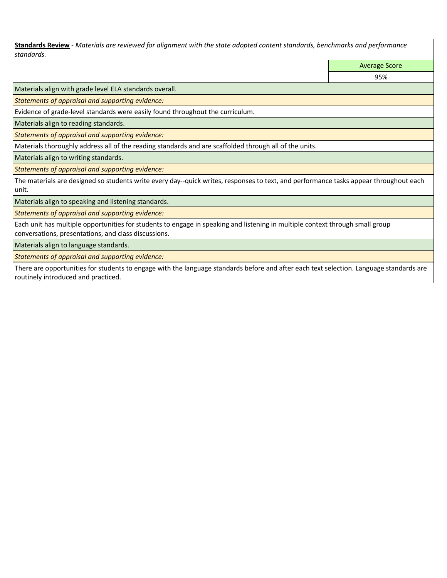**Standards Review** *- Materials are reviewed for alignment with the state adopted content standards, benchmarks and performance standards.*

Average Score

95%

Materials align with grade level ELA standards overall.

*Statements of appraisal and supporting evidence:* 

Evidence of grade-level standards were easily found throughout the curriculum.

Materials align to reading standards.

*Statements of appraisal and supporting evidence:* 

Materials thoroughly address all of the reading standards and are scaffolded through all of the units.

Materials align to writing standards.

*Statements of appraisal and supporting evidence:* 

The materials are designed so students write every day--quick writes, responses to text, and performance tasks appear throughout each unit.

Materials align to speaking and listening standards.

*Statements of appraisal and supporting evidence:* 

Each unit has multiple opportunities for students to engage in speaking and listening in multiple context through small group conversations, presentations, and class discussions.

Materials align to language standards.

*Statements of appraisal and supporting evidence:* 

There are opportunities for students to engage with the language standards before and after each text selection. Language standards are routinely introduced and practiced.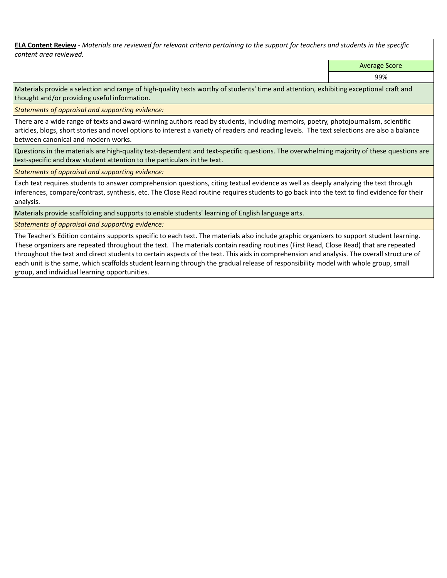**ELA Content Review** *- Materials are reviewed for relevant criteria pertaining to the support for teachers and students in the specific content area reviewed.*

Average Score

99%

Materials provide a selection and range of high-quality texts worthy of students' time and attention, exhibiting exceptional craft and thought and/or providing useful information.

*Statements of appraisal and supporting evidence:* 

There are a wide range of texts and award-winning authors read by students, including memoirs, poetry, photojournalism, scientific articles, blogs, short stories and novel options to interest a variety of readers and reading levels. The text selections are also a balance between canonical and modern works.

Questions in the materials are high-quality text-dependent and text-specific questions. The overwhelming majority of these questions are text-specific and draw student attention to the particulars in the text.

*Statements of appraisal and supporting evidence:* 

Each text requires students to answer comprehension questions, citing textual evidence as well as deeply analyzing the text through inferences, compare/contrast, synthesis, etc. The Close Read routine requires students to go back into the text to find evidence for their analysis.

Materials provide scaffolding and supports to enable students' learning of English language arts.

*Statements of appraisal and supporting evidence:* 

The Teacher's Edition contains supports specific to each text. The materials also include graphic organizers to support student learning. These organizers are repeated throughout the text. The materials contain reading routines (First Read, Close Read) that are repeated throughout the text and direct students to certain aspects of the text. This aids in comprehension and analysis. The overall structure of each unit is the same, which scaffolds student learning through the gradual release of responsibility model with whole group, small group, and individual learning opportunities.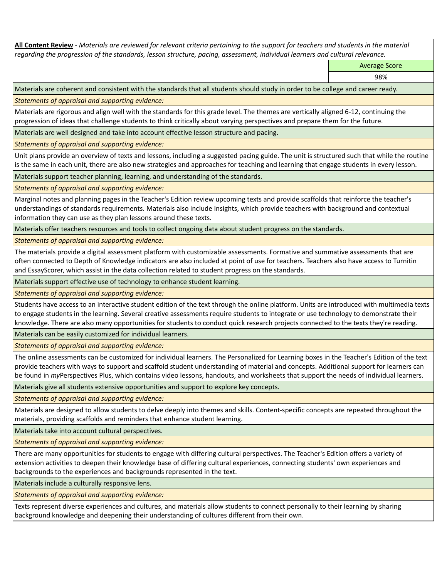**All Content Review** *- Materials are reviewed for relevant criteria pertaining to the support for teachers and students in the material regarding the progression of the standards, lesson structure, pacing, assessment, individual learners and cultural relevance.*

Average Score

98%

Materials are coherent and consistent with the standards that all students should study in order to be college and career ready.

*Statements of appraisal and supporting evidence:*

Materials are rigorous and align well with the standards for this grade level. The themes are vertically aligned 6-12, continuing the progression of ideas that challenge students to think critically about varying perspectives and prepare them for the future.

Materials are well designed and take into account effective lesson structure and pacing.

*Statements of appraisal and supporting evidence:*

Unit plans provide an overview of texts and lessons, including a suggested pacing guide. The unit is structured such that while the routine is the same in each unit, there are also new strategies and approaches for teaching and learning that engage students in every lesson.

Materials support teacher planning, learning, and understanding of the standards.

*Statements of appraisal and supporting evidence:*

Marginal notes and planning pages in the Teacher's Edition review upcoming texts and provide scaffolds that reinforce the teacher's understandings of standards requirements. Materials also include Insights, which provide teachers with background and contextual information they can use as they plan lessons around these texts.

Materials offer teachers resources and tools to collect ongoing data about student progress on the standards.

*Statements of appraisal and supporting evidence:*

The materials provide a digital assessment platform with customizable assessments. Formative and summative assessments that are often connected to Depth of Knowledge indicators are also included at point of use for teachers. Teachers also have access to Turnitin and EssayScorer, which assist in the data collection related to student progress on the standards.

Materials support effective use of technology to enhance student learning.

*Statements of appraisal and supporting evidence:*

Students have access to an interactive student edition of the text through the online platform. Units are introduced with multimedia texts to engage students in the learning. Several creative assessments require students to integrate or use technology to demonstrate their knowledge. There are also many opportunities for students to conduct quick research projects connected to the texts they're reading.

Materials can be easily customized for individual learners.

*Statements of appraisal and supporting evidence:* 

The online assessments can be customized for individual learners. The Personalized for Learning boxes in the Teacher's Edition of the text provide teachers with ways to support and scaffold student understanding of material and concepts. Additional support for learners can be found in *my*Perspectives Plus, which contains video lessons, handouts, and worksheets that support the needs of individual learners.

Materials give all students extensive opportunities and support to explore key concepts.

*Statements of appraisal and supporting evidence:*

Materials are designed to allow students to delve deeply into themes and skills. Content-specific concepts are repeated throughout the materials, providing scaffolds and reminders that enhance student learning.

Materials take into account cultural perspectives.

*Statements of appraisal and supporting evidence:*

There are many opportunities for students to engage with differing cultural perspectives. The Teacher's Edition offers a variety of extension activities to deepen their knowledge base of differing cultural experiences, connecting students' own experiences and backgrounds to the experiences and backgrounds represented in the text.

Materials include a culturally responsive lens.

*Statements of appraisal and supporting evidence:*

Texts represent diverse experiences and cultures, and materials allow students to connect personally to their learning by sharing background knowledge and deepening their understanding of cultures different from their own.